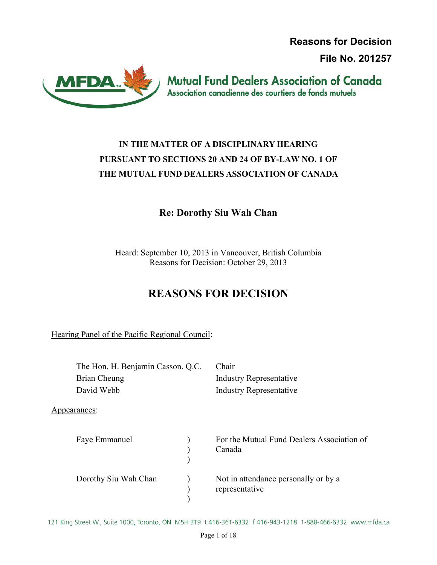**Reasons for Decision**

**File No. 201257**



**Mutual Fund Dealers Association of Canada** Association canadienne des courtiers de fonds mutuels

# **IN THE MATTER OF A DISCIPLINARY HEARING PURSUANT TO SECTIONS 20 AND 24 OF BY-LAW NO. 1 OF THE MUTUAL FUND DEALERS ASSOCIATION OF CANADA**

# **Re: Dorothy Siu Wah Chan**

Heard: September 10, 2013 in Vancouver, British Columbia Reasons for Decision: October 29, 2013

# **REASONS FOR DECISION**

Hearing Panel of the Pacific Regional Council:

| The Hon. H. Benjamin Casson, Q.C. |  | Chair                                                  |  |
|-----------------------------------|--|--------------------------------------------------------|--|
| Brian Cheung                      |  | <b>Industry Representative</b>                         |  |
| David Webb                        |  | <b>Industry Representative</b>                         |  |
| Appearances:                      |  |                                                        |  |
| Faye Emmanuel                     |  | For the Mutual Fund Dealers Association of<br>Canada   |  |
| Dorothy Siu Wah Chan              |  | Not in attendance personally or by a<br>representative |  |

121 King Street W., Suite 1000, Toronto, ON M5H 3T9 t 416-361-6332 f 416-943-1218 1-888-466-6332 www.mfda.ca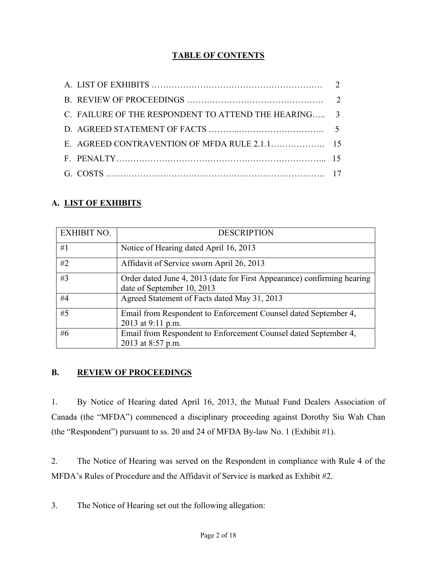# **TABLE OF CONTENTS**

| C. FAILURE OF THE RESPONDENT TO ATTEND THE HEARING 3 |  |
|------------------------------------------------------|--|
|                                                      |  |
|                                                      |  |
|                                                      |  |
|                                                      |  |

# **A. LIST OF EXHIBITS**

| <b>EXHIBIT NO.</b> | <b>DESCRIPTION</b>                                                                                    |
|--------------------|-------------------------------------------------------------------------------------------------------|
| #1                 | Notice of Hearing dated April 16, 2013                                                                |
| #2                 | Affidavit of Service sworn April 26, 2013                                                             |
| #3                 | Order dated June 4, 2013 (date for First Appearance) confirming hearing<br>date of September 10, 2013 |
| #4                 | Agreed Statement of Facts dated May 31, 2013                                                          |
| #5                 | Email from Respondent to Enforcement Counsel dated September 4,<br>2013 at 9:11 p.m.                  |
| #6                 | Email from Respondent to Enforcement Counsel dated September 4,<br>2013 at 8:57 p.m.                  |

### **B. REVIEW OF PROCEEDINGS**

1. By Notice of Hearing dated April 16, 2013, the Mutual Fund Dealers Association of Canada (the "MFDA") commenced a disciplinary proceeding against Dorothy Siu Wah Chan (the "Respondent") pursuant to ss. 20 and 24 of MFDA By-law No. 1 (Exhibit #1).

2. The Notice of Hearing was served on the Respondent in compliance with Rule 4 of the MFDA's Rules of Procedure and the Affidavit of Service is marked as Exhibit #2.

3. The Notice of Hearing set out the following allegation: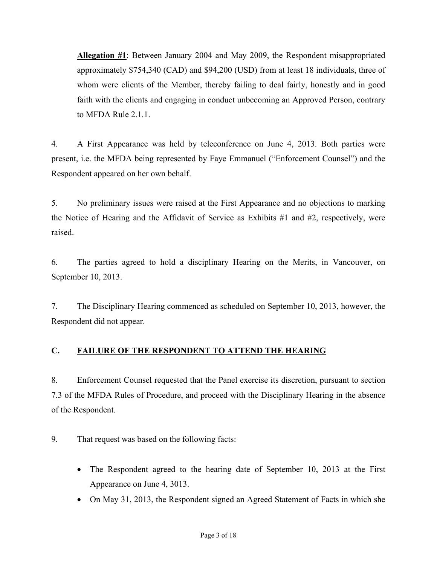<span id="page-2-0"></span>**Allegation #1**: Between January 2004 and May 2009, the Respondent misappropriated approximately \$754,340 (CAD) and \$94,200 (USD) from at least 18 individuals, three of whom were clients of the Member, thereby failing to deal fairly, honestly and in good faith with the clients and engaging in conduct unbecoming an Approved Person, contrary to MFDA Rule 2.1.1.

4. A First Appearance was held by teleconference on June 4, 2013. Both parties were present, i.e. the MFDA being represented by Faye Emmanuel ("Enforcement Counsel") and the Respondent appeared on her own behalf.

5. No preliminary issues were raised at the First Appearance and no objections to marking the Notice of Hearing and the Affidavit of Service as Exhibits #1 and #2, respectively, were raised.

6. The parties agreed to hold a disciplinary Hearing on the Merits, in Vancouver, on September 10, 2013.

7. The Disciplinary Hearing commenced as scheduled on September 10, 2013, however, the Respondent did not appear.

# **C. FAILURE OF THE RESPONDENT TO ATTEND THE HEARING**

8. Enforcement Counsel requested that the Panel exercise its discretion, pursuant to section 7.3 of the MFDA Rules of Procedure, and proceed with the Disciplinary Hearing in the absence of the Respondent.

9. That request was based on the following facts:

- The Respondent agreed to the hearing date of September 10, 2013 at the First Appearance on June 4, 3013.
- On May 31, 2013, the Respondent signed an Agreed Statement of Facts in which she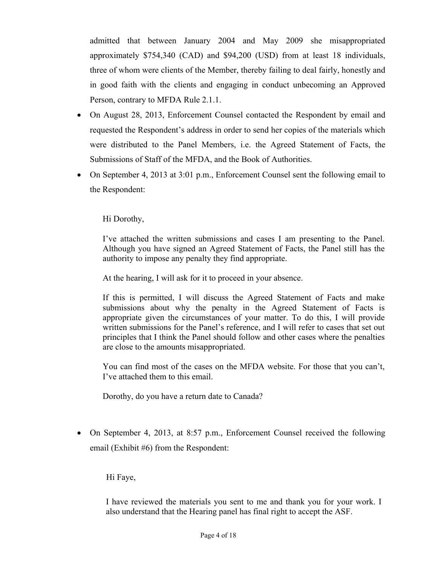admitted that between January 2004 and May 2009 she misappropriated approximately \$754,340 (CAD) and \$94,200 (USD) from at least 18 individuals, three of whom were clients of the Member, thereby failing to deal fairly, honestly and in good faith with the clients and engaging in conduct unbecoming an Approved Person, contrary to MFDA Rule 2.1.1.

- On August 28, 2013, Enforcement Counsel contacted the Respondent by email and requested the Respondent's address in order to send her copies of the materials which were distributed to the Panel Members, i.e. the Agreed Statement of Facts, the Submissions of Staff of the MFDA, and the Book of Authorities.
- On September 4, 2013 at 3:01 p.m., Enforcement Counsel sent the following email to the Respondent:

Hi Dorothy,

I've attached the written submissions and cases I am presenting to the Panel. Although you have signed an Agreed Statement of Facts, the Panel still has the authority to impose any penalty they find appropriate.

At the hearing, I will ask for it to proceed in your absence.

If this is permitted, I will discuss the Agreed Statement of Facts and make submissions about why the penalty in the Agreed Statement of Facts is appropriate given the circumstances of your matter. To do this, I will provide written submissions for the Panel's reference, and I will refer to cases that set out principles that I think the Panel should follow and other cases where the penalties are close to the amounts misappropriated.

You can find most of the cases on the MFDA website. For those that you can't, I've attached them to this email.

Dorothy, do you have a return date to Canada?

 On September 4, 2013, at 8:57 p.m., Enforcement Counsel received the following email (Exhibit #6) from the Respondent:

Hi Faye,

I have reviewed the materials you sent to me and thank you for your work. I also understand that the Hearing panel has final right to accept the ASF.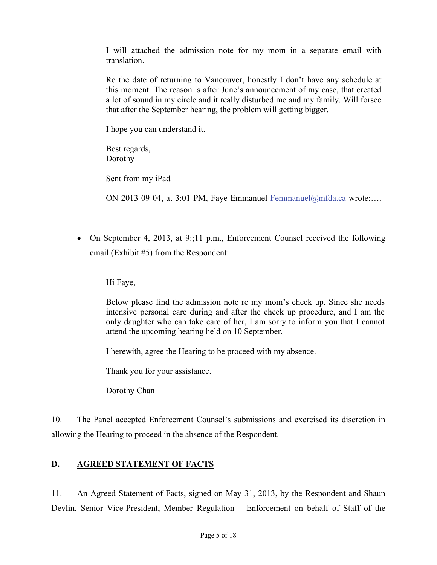<span id="page-4-0"></span>I will attached the admission note for my mom in a separate email with translation.

Re the date of returning to Vancouver, honestly I don't have any schedule at this moment. The reason is after June's announcement of my case, that created a lot of sound in my circle and it really disturbed me and my family. Will forsee that after the September hearing, the problem will getting bigger.

I hope you can understand it.

Best regards, Dorothy

Sent from my iPad

ON 2013-09-04, at 3:01 PM, Faye Emmanuel  $Fermmanuel@mfda.ca$  wrote:...

 On September 4, 2013, at 9:;11 p.m., Enforcement Counsel received the following email (Exhibit #5) from the Respondent:

Hi Faye,

Below please find the admission note re my mom's check up. Since she needs intensive personal care during and after the check up procedure, and I am the only daughter who can take care of her, I am sorry to inform you that I cannot attend the upcoming hearing held on 10 September.

I herewith, agree the Hearing to be proceed with my absence.

Thank you for your assistance.

Dorothy Chan

10. The Panel accepted Enforcement Counsel's submissions and exercised its discretion in allowing the Hearing to proceed in the absence of the Respondent.

### **D. AGREED STATEMENT OF FACTS**

11. An Agreed Statement of Facts, signed on May 31, 2013, by the Respondent and Shaun Devlin, Senior Vice-President, Member Regulation – Enforcement on behalf of Staff of the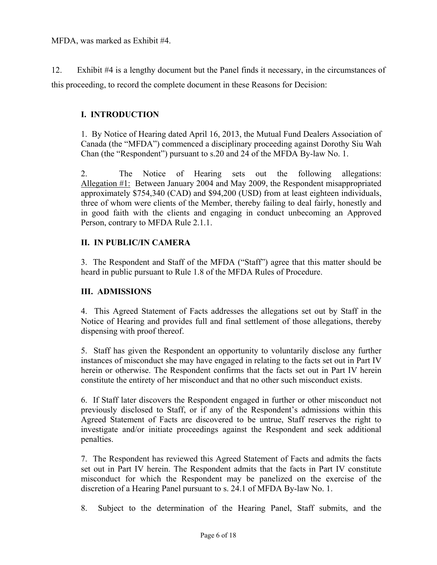MFDA, was marked as Exhibit #4.

12. Exhibit #4 is a lengthy document but the Panel finds it necessary, in the circumstances of this proceeding, to record the complete document in these Reasons for Decision:

### **I. INTRODUCTION**

1. By Notice of Hearing dated April 16, 2013, the Mutual Fund Dealers Association of Canada (the "MFDA") commenced a disciplinary proceeding against Dorothy Siu Wah Chan (the "Respondent") pursuant to s.20 and 24 of the MFDA By-law No. 1.

2. The Notice of Hearing sets out the following allegations: Allegation #1: Between January 2004 and May 2009, the Respondent misappropriated approximately \$754,340 (CAD) and \$94,200 (USD) from at least eighteen individuals, three of whom were clients of the Member, thereby failing to deal fairly, honestly and in good faith with the clients and engaging in conduct unbecoming an Approved Person, contrary to MFDA Rule 2.1.1.

### **II. IN PUBLIC/IN CAMERA**

3. The Respondent and Staff of the MFDA ("Staff") agree that this matter should be heard in public pursuant to Rule 1.8 of the MFDA Rules of Procedure.

### **III. ADMISSIONS**

4. This Agreed Statement of Facts addresses the allegations set out by Staff in the Notice of Hearing and provides full and final settlement of those allegations, thereby dispensing with proof thereof.

5. Staff has given the Respondent an opportunity to voluntarily disclose any further instances of misconduct she may have engaged in relating to the facts set out in Part IV herein or otherwise. The Respondent confirms that the facts set out in Part IV herein constitute the entirety of her misconduct and that no other such misconduct exists.

6. If Staff later discovers the Respondent engaged in further or other misconduct not previously disclosed to Staff, or if any of the Respondent's admissions within this Agreed Statement of Facts are discovered to be untrue, Staff reserves the right to investigate and/or initiate proceedings against the Respondent and seek additional penalties.

7. The Respondent has reviewed this Agreed Statement of Facts and admits the facts set out in Part IV herein. The Respondent admits that the facts in Part IV constitute misconduct for which the Respondent may be panelized on the exercise of the discretion of a Hearing Panel pursuant to s. 24.1 of MFDA By-law No. 1.

8. Subject to the determination of the Hearing Panel, Staff submits, and the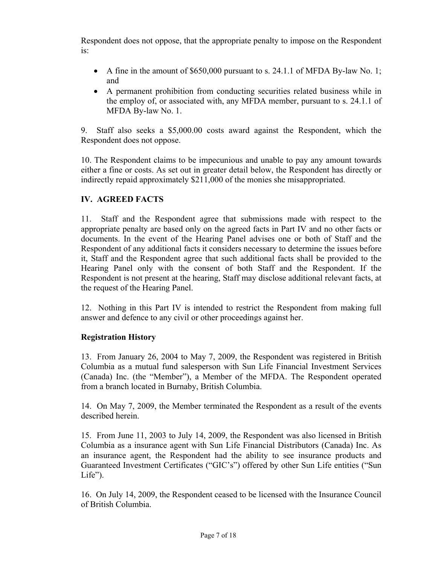Respondent does not oppose, that the appropriate penalty to impose on the Respondent is:

- $\bullet$  A fine in the amount of \$650,000 pursuant to s. 24.1.1 of MFDA By-law No. 1; and
- A permanent prohibition from conducting securities related business while in the employ of, or associated with, any MFDA member, pursuant to s. 24.1.1 of MFDA By-law No. 1.

9. Staff also seeks a \$5,000.00 costs award against the Respondent, which the Respondent does not oppose.

10. The Respondent claims to be impecunious and unable to pay any amount towards either a fine or costs. As set out in greater detail below, the Respondent has directly or indirectly repaid approximately \$211,000 of the monies she misappropriated.

# **IV. AGREED FACTS**

11. Staff and the Respondent agree that submissions made with respect to the appropriate penalty are based only on the agreed facts in Part IV and no other facts or documents. In the event of the Hearing Panel advises one or both of Staff and the Respondent of any additional facts it considers necessary to determine the issues before it, Staff and the Respondent agree that such additional facts shall be provided to the Hearing Panel only with the consent of both Staff and the Respondent. If the Respondent is not present at the hearing, Staff may disclose additional relevant facts, at the request of the Hearing Panel.

12. Nothing in this Part IV is intended to restrict the Respondent from making full answer and defence to any civil or other proceedings against her.

### **Registration History**

13. From January 26, 2004 to May 7, 2009, the Respondent was registered in British Columbia as a mutual fund salesperson with Sun Life Financial Investment Services (Canada) Inc. (the "Member"), a Member of the MFDA. The Respondent operated from a branch located in Burnaby, British Columbia.

14. On May 7, 2009, the Member terminated the Respondent as a result of the events described herein.

15. From June 11, 2003 to July 14, 2009, the Respondent was also licensed in British Columbia as a insurance agent with Sun Life Financial Distributors (Canada) Inc. As an insurance agent, the Respondent had the ability to see insurance products and Guaranteed Investment Certificates ("GIC's") offered by other Sun Life entities ("Sun  $Life$ ").

16. On July 14, 2009, the Respondent ceased to be licensed with the Insurance Council of British Columbia.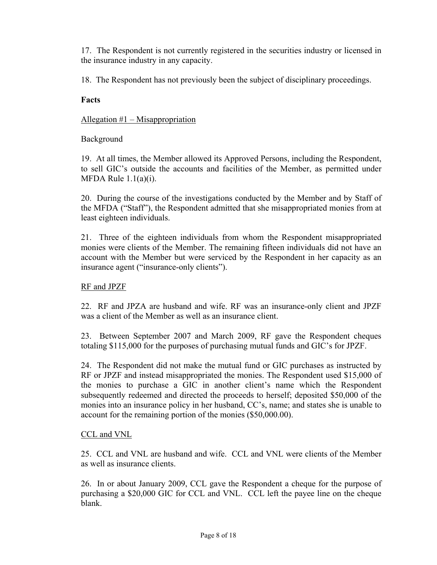17. The Respondent is not currently registered in the securities industry or licensed in the insurance industry in any capacity.

18. The Respondent has not previously been the subject of disciplinary proceedings.

### **Facts**

### Allegation #1 – Misappropriation

### Background

19. At all times, the Member allowed its Approved Persons, including the Respondent, to sell GIC's outside the accounts and facilities of the Member, as permitted under MFDA Rule  $1.1(a)(i)$ .

20. During the course of the investigations conducted by the Member and by Staff of the MFDA ("Staff"), the Respondent admitted that she misappropriated monies from at least eighteen individuals.

21. Three of the eighteen individuals from whom the Respondent misappropriated monies were clients of the Member. The remaining fifteen individuals did not have an account with the Member but were serviced by the Respondent in her capacity as an insurance agent ("insurance-only clients").

### RF and JPZF

22. RF and JPZA are husband and wife. RF was an insurance-only client and JPZF was a client of the Member as well as an insurance client.

23. Between September 2007 and March 2009, RF gave the Respondent cheques totaling \$115,000 for the purposes of purchasing mutual funds and GIC's for JPZF.

24. The Respondent did not make the mutual fund or GIC purchases as instructed by RF or JPZF and instead misappropriated the monies. The Respondent used \$15,000 of the monies to purchase a GIC in another client's name which the Respondent subsequently redeemed and directed the proceeds to herself; deposited \$50,000 of the monies into an insurance policy in her husband, CC's, name; and states she is unable to account for the remaining portion of the monies (\$50,000.00).

### CCL and VNL

25. CCL and VNL are husband and wife. CCL and VNL were clients of the Member as well as insurance clients.

26. In or about January 2009, CCL gave the Respondent a cheque for the purpose of purchasing a \$20,000 GIC for CCL and VNL. CCL left the payee line on the cheque blank.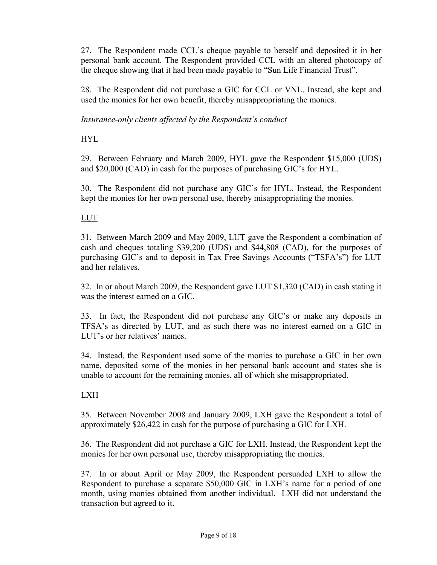27. The Respondent made CCL's cheque payable to herself and deposited it in her personal bank account. The Respondent provided CCL with an altered photocopy of the cheque showing that it had been made payable to "Sun Life Financial Trust".

28. The Respondent did not purchase a GIC for CCL or VNL. Instead, she kept and used the monies for her own benefit, thereby misappropriating the monies.

*Insurance-only clients affected by the Respondent's conduct* 

# HYL

29. Between February and March 2009, HYL gave the Respondent \$15,000 (UDS) and \$20,000 (CAD) in cash for the purposes of purchasing GIC's for HYL.

30. The Respondent did not purchase any GIC's for HYL. Instead, the Respondent kept the monies for her own personal use, thereby misappropriating the monies.

# LUT

31. Between March 2009 and May 2009, LUT gave the Respondent a combination of cash and cheques totaling \$39,200 (UDS) and \$44,808 (CAD), for the purposes of purchasing GIC's and to deposit in Tax Free Savings Accounts ("TSFA's") for LUT and her relatives.

32. In or about March 2009, the Respondent gave LUT \$1,320 (CAD) in cash stating it was the interest earned on a GIC.

33. In fact, the Respondent did not purchase any GIC's or make any deposits in TFSA's as directed by LUT, and as such there was no interest earned on a GIC in LUT's or her relatives' names.

34. Instead, the Respondent used some of the monies to purchase a GIC in her own name, deposited some of the monies in her personal bank account and states she is unable to account for the remaining monies, all of which she misappropriated.

# LXH

35. Between November 2008 and January 2009, LXH gave the Respondent a total of approximately \$26,422 in cash for the purpose of purchasing a GIC for LXH.

36. The Respondent did not purchase a GIC for LXH. Instead, the Respondent kept the monies for her own personal use, thereby misappropriating the monies.

37. In or about April or May 2009, the Respondent persuaded LXH to allow the Respondent to purchase a separate \$50,000 GIC in LXH's name for a period of one month, using monies obtained from another individual. LXH did not understand the transaction but agreed to it.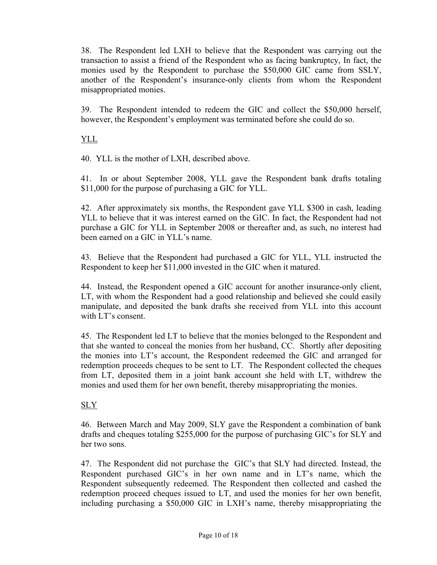38. The Respondent led LXH to believe that the Respondent was carrying out the transaction to assist a friend of the Respondent who as facing bankruptcy, In fact, the monies used by the Respondent to purchase the \$50,000 GIC came from SSLY, another of the Respondent's insurance-only clients from whom the Respondent misappropriated monies.

39. The Respondent intended to redeem the GIC and collect the \$50,000 herself, however, the Respondent's employment was terminated before she could do so.

### YLL

40. YLL is the mother of LXH, described above.

41. In or about September 2008, YLL gave the Respondent bank drafts totaling \$11,000 for the purpose of purchasing a GIC for YLL.

42. After approximately six months, the Respondent gave YLL \$300 in cash, leading YLL to believe that it was interest earned on the GIC. In fact, the Respondent had not purchase a GIC for YLL in September 2008 or thereafter and, as such, no interest had been earned on a GIC in YLL's name.

43. Believe that the Respondent had purchased a GIC for YLL, YLL instructed the Respondent to keep her \$11,000 invested in the GIC when it matured.

44. Instead, the Respondent opened a GIC account for another insurance-only client, LT, with whom the Respondent had a good relationship and believed she could easily manipulate, and deposited the bank drafts she received from YLL into this account with LT's consent.

45. The Respondent led LT to believe that the monies belonged to the Respondent and that she wanted to conceal the monies from her husband, CC. Shortly after depositing the monies into LT's account, the Respondent redeemed the GIC and arranged for redemption proceeds cheques to be sent to LT. The Respondent collected the cheques from LT, deposited them in a joint bank account she held with LT, withdrew the monies and used them for her own benefit, thereby misappropriating the monies.

### SLY

46. Between March and May 2009, SLY gave the Respondent a combination of bank drafts and cheques totaling \$255,000 for the purpose of purchasing GIC's for SLY and her two sons.

47. The Respondent did not purchase the GIC's that SLY had directed. Instead, the Respondent purchased GIC's in her own name and in LT's name, which the Respondent subsequently redeemed. The Respondent then collected and cashed the redemption proceed cheques issued to LT, and used the monies for her own benefit, including purchasing a \$50,000 GIC in LXH's name, thereby misappropriating the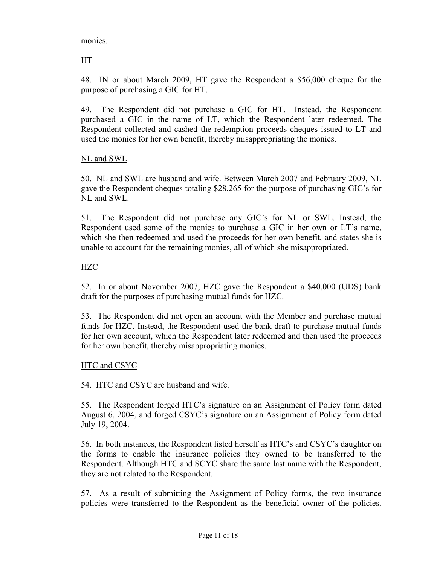monies.

HT

48. IN or about March 2009, HT gave the Respondent a \$56,000 cheque for the purpose of purchasing a GIC for HT.

49. The Respondent did not purchase a GIC for HT. Instead, the Respondent purchased a GIC in the name of LT, which the Respondent later redeemed. The Respondent collected and cashed the redemption proceeds cheques issued to LT and used the monies for her own benefit, thereby misappropriating the monies.

### NL and SWL

50. NL and SWL are husband and wife. Between March 2007 and February 2009, NL gave the Respondent cheques totaling \$28,265 for the purpose of purchasing GIC's for NL and SWL.

51. The Respondent did not purchase any GIC's for NL or SWL. Instead, the Respondent used some of the monies to purchase a GIC in her own or LT's name, which she then redeemed and used the proceeds for her own benefit, and states she is unable to account for the remaining monies, all of which she misappropriated.

### HZC

52. In or about November 2007, HZC gave the Respondent a \$40,000 (UDS) bank draft for the purposes of purchasing mutual funds for HZC.

53. The Respondent did not open an account with the Member and purchase mutual funds for HZC. Instead, the Respondent used the bank draft to purchase mutual funds for her own account, which the Respondent later redeemed and then used the proceeds for her own benefit, thereby misappropriating monies.

### HTC and CSYC

54. HTC and CSYC are husband and wife.

55. The Respondent forged HTC's signature on an Assignment of Policy form dated August 6, 2004, and forged CSYC's signature on an Assignment of Policy form dated July 19, 2004.

56. In both instances, the Respondent listed herself as HTC's and CSYC's daughter on the forms to enable the insurance policies they owned to be transferred to the Respondent. Although HTC and SCYC share the same last name with the Respondent, they are not related to the Respondent.

57. As a result of submitting the Assignment of Policy forms, the two insurance policies were transferred to the Respondent as the beneficial owner of the policies.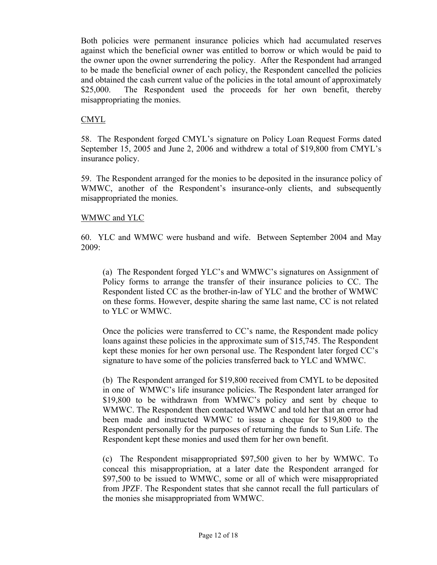Both policies were permanent insurance policies which had accumulated reserves against which the beneficial owner was entitled to borrow or which would be paid to the owner upon the owner surrendering the policy. After the Respondent had arranged to be made the beneficial owner of each policy, the Respondent cancelled the policies and obtained the cash current value of the policies in the total amount of approximately \$25,000. The Respondent used the proceeds for her own benefit, thereby misappropriating the monies.

### CMYL

58. The Respondent forged CMYL's signature on Policy Loan Request Forms dated September 15, 2005 and June 2, 2006 and withdrew a total of \$19,800 from CMYL's insurance policy.

59. The Respondent arranged for the monies to be deposited in the insurance policy of WMWC, another of the Respondent's insurance-only clients, and subsequently misappropriated the monies.

### WMWC and YLC

60. YLC and WMWC were husband and wife. Between September 2004 and May 2009:

(a) The Respondent forged YLC's and WMWC's signatures on Assignment of Policy forms to arrange the transfer of their insurance policies to CC. The Respondent listed CC as the brother-in-law of YLC and the brother of WMWC on these forms. However, despite sharing the same last name, CC is not related to YLC or WMWC.

Once the policies were transferred to CC's name, the Respondent made policy loans against these policies in the approximate sum of \$15,745. The Respondent kept these monies for her own personal use. The Respondent later forged CC's signature to have some of the policies transferred back to YLC and WMWC.

(b) The Respondent arranged for \$19,800 received from CMYL to be deposited in one of WMWC's life insurance policies. The Respondent later arranged for \$19,800 to be withdrawn from WMWC's policy and sent by cheque to WMWC. The Respondent then contacted WMWC and told her that an error had been made and instructed WMWC to issue a cheque for \$19,800 to the Respondent personally for the purposes of returning the funds to Sun Life. The Respondent kept these monies and used them for her own benefit.

(c) The Respondent misappropriated \$97,500 given to her by WMWC. To conceal this misappropriation, at a later date the Respondent arranged for \$97,500 to be issued to WMWC, some or all of which were misappropriated from JPZF. The Respondent states that she cannot recall the full particulars of the monies she misappropriated from WMWC.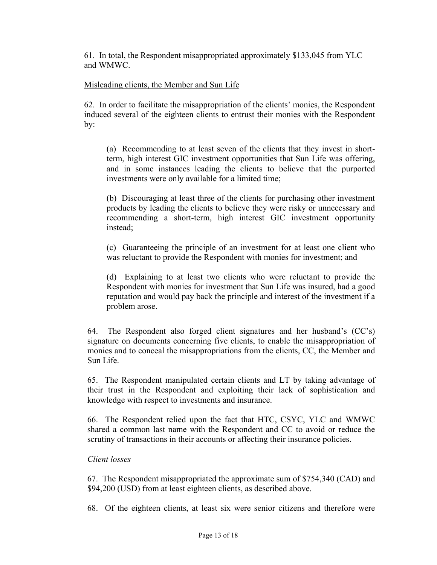61. In total, the Respondent misappropriated approximately \$133,045 from YLC and WMWC.

### Misleading clients, the Member and Sun Life

62. In order to facilitate the misappropriation of the clients' monies, the Respondent induced several of the eighteen clients to entrust their monies with the Respondent by:

(a) Recommending to at least seven of the clients that they invest in shortterm, high interest GIC investment opportunities that Sun Life was offering, and in some instances leading the clients to believe that the purported investments were only available for a limited time;

(b) Discouraging at least three of the clients for purchasing other investment products by leading the clients to believe they were risky or unnecessary and recommending a short-term, high interest GIC investment opportunity instead;

(c) Guaranteeing the principle of an investment for at least one client who was reluctant to provide the Respondent with monies for investment; and

(d) Explaining to at least two clients who were reluctant to provide the Respondent with monies for investment that Sun Life was insured, had a good reputation and would pay back the principle and interest of the investment if a problem arose.

64. The Respondent also forged client signatures and her husband's (CC's) signature on documents concerning five clients, to enable the misappropriation of monies and to conceal the misappropriations from the clients, CC, the Member and Sun Life.

65. The Respondent manipulated certain clients and LT by taking advantage of their trust in the Respondent and exploiting their lack of sophistication and knowledge with respect to investments and insurance.

66. The Respondent relied upon the fact that HTC, CSYC, YLC and WMWC shared a common last name with the Respondent and CC to avoid or reduce the scrutiny of transactions in their accounts or affecting their insurance policies.

#### *Client losses*

67. The Respondent misappropriated the approximate sum of \$754,340 (CAD) and \$94,200 (USD) from at least eighteen clients, as described above.

68. Of the eighteen clients, at least six were senior citizens and therefore were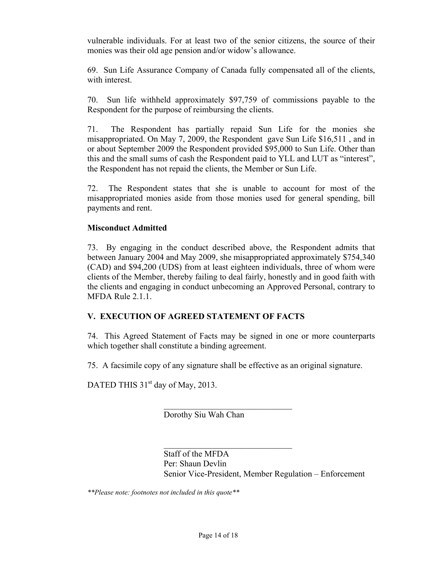vulnerable individuals. For at least two of the senior citizens, the source of their monies was their old age pension and/or widow's allowance.

69. Sun Life Assurance Company of Canada fully compensated all of the clients, with interest.

70. Sun life withheld approximately \$97,759 of commissions payable to the Respondent for the purpose of reimbursing the clients.

71. The Respondent has partially repaid Sun Life for the monies she misappropriated. On May 7, 2009, the Respondent gave Sun Life \$16,511 , and in or about September 2009 the Respondent provided \$95,000 to Sun Life. Other than this and the small sums of cash the Respondent paid to YLL and LUT as "interest", the Respondent has not repaid the clients, the Member or Sun Life.

72. The Respondent states that she is unable to account for most of the misappropriated monies aside from those monies used for general spending, bill payments and rent.

### **Misconduct Admitted**

73. By engaging in the conduct described above, the Respondent admits that between January 2004 and May 2009, she misappropriated approximately \$754,340 (CAD) and \$94,200 (UDS) from at least eighteen individuals, three of whom were clients of the Member, thereby failing to deal fairly, honestly and in good faith with the clients and engaging in conduct unbecoming an Approved Personal, contrary to MFDA Rule 2.1.1.

# **V. EXECUTION OF AGREED STATEMENT OF FACTS**

74. This Agreed Statement of Facts may be signed in one or more counterparts which together shall constitute a binding agreement.

75. A facsimile copy of any signature shall be effective as an original signature.

 $\mathcal{L}_\text{max}$ 

 $\mathcal{L}_\text{max}$  , where  $\mathcal{L}_\text{max}$  and  $\mathcal{L}_\text{max}$ 

DATED THIS  $31<sup>st</sup>$  day of May, 2013.

Dorothy Siu Wah Chan

Staff of the MFDA Per: Shaun Devlin Senior Vice-President, Member Regulation – Enforcement

*\*\*Please note: footnotes not included in this quote\*\**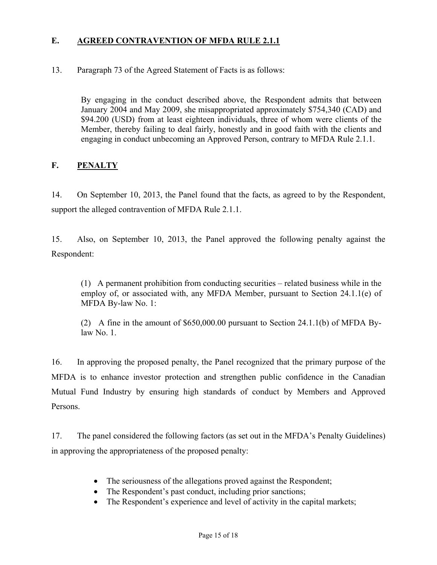### <span id="page-14-0"></span>**E. AGREED CONTRAVENTION OF MFDA RULE 2.1.1**

### 13. Paragraph 73 of the Agreed Statement of Facts is as follows:

By engaging in the conduct described above, the Respondent admits that between January 2004 and May 2009, she misappropriated approximately \$754,340 (CAD) and \$94.200 (USD) from at least eighteen individuals, three of whom were clients of the Member, thereby failing to deal fairly, honestly and in good faith with the clients and engaging in conduct unbecoming an Approved Person, contrary to MFDA Rule 2.1.1.

### **F. PENALTY**

14. On September 10, 2013, the Panel found that the facts, as agreed to by the Respondent, support the alleged contravention of MFDA Rule 2.1.1.

15. Also, on September 10, 2013, the Panel approved the following penalty against the Respondent:

(1) A permanent prohibition from conducting securities – related business while in the employ of, or associated with, any MFDA Member, pursuant to Section 24.1.1(e) of MFDA By-law No. 1:

(2) A fine in the amount of \$650,000.00 pursuant to Section 24.1.1(b) of MFDA Bylaw No. 1.

16. In approving the proposed penalty, the Panel recognized that the primary purpose of the MFDA is to enhance investor protection and strengthen public confidence in the Canadian Mutual Fund Industry by ensuring high standards of conduct by Members and Approved Persons.

17. The panel considered the following factors (as set out in the MFDA's Penalty Guidelines) in approving the appropriateness of the proposed penalty:

- The seriousness of the allegations proved against the Respondent;
- The Respondent's past conduct, including prior sanctions;
- The Respondent's experience and level of activity in the capital markets;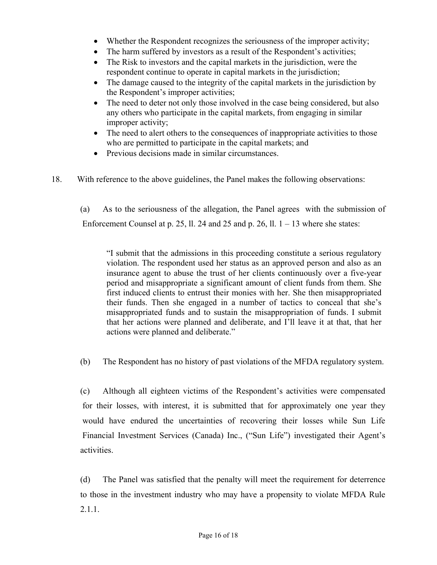- Whether the Respondent recognizes the seriousness of the improper activity;
- The harm suffered by investors as a result of the Respondent's activities;
- The Risk to investors and the capital markets in the jurisdiction, were the respondent continue to operate in capital markets in the jurisdiction;
- The damage caused to the integrity of the capital markets in the jurisdiction by the Respondent's improper activities;
- The need to deter not only those involved in the case being considered, but also any others who participate in the capital markets, from engaging in similar improper activity;
- The need to alert others to the consequences of inappropriate activities to those who are permitted to participate in the capital markets; and
- Previous decisions made in similar circumstances.
- 18. With reference to the above guidelines, the Panel makes the following observations:

(a) As to the seriousness of the allegation, the Panel agrees with the submission of Enforcement Counsel at p. 25, ll. 24 and 25 and p. 26, ll.  $1 - 13$  where she states:

"I submit that the admissions in this proceeding constitute a serious regulatory violation. The respondent used her status as an approved person and also as an insurance agent to abuse the trust of her clients continuously over a five-year period and misappropriate a significant amount of client funds from them. She first induced clients to entrust their monies with her. She then misappropriated their funds. Then she engaged in a number of tactics to conceal that she's misappropriated funds and to sustain the misappropriation of funds. I submit that her actions were planned and deliberate, and I'll leave it at that, that her actions were planned and deliberate."

(b) The Respondent has no history of past violations of the MFDA regulatory system.

(c) Although all eighteen victims of the Respondent's activities were compensated for their losses, with interest, it is submitted that for approximately one year they would have endured the uncertainties of recovering their losses while Sun Life Financial Investment Services (Canada) Inc., ("Sun Life") investigated their Agent's activities.

(d) The Panel was satisfied that the penalty will meet the requirement for deterrence to those in the investment industry who may have a propensity to violate MFDA Rule 2.1.1.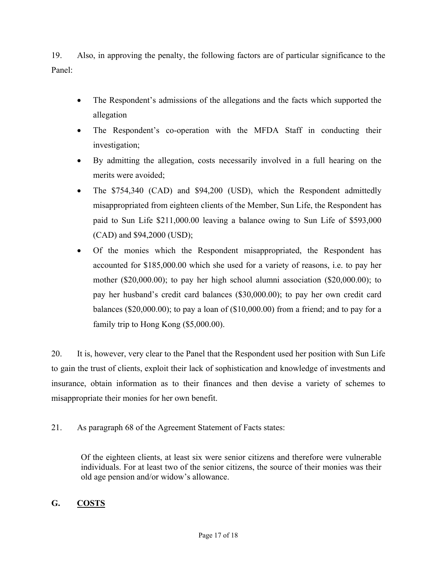<span id="page-16-0"></span>19. Also, in approving the penalty, the following factors are of particular significance to the Panel:

- The Respondent's admissions of the allegations and the facts which supported the allegation
- The Respondent's co-operation with the MFDA Staff in conducting their investigation;
- By admitting the allegation, costs necessarily involved in a full hearing on the merits were avoided;
- The \$754,340 (CAD) and \$94,200 (USD), which the Respondent admittedly misappropriated from eighteen clients of the Member, Sun Life, the Respondent has paid to Sun Life \$211,000.00 leaving a balance owing to Sun Life of \$593,000 (CAD) and \$94,2000 (USD);
- Of the monies which the Respondent misappropriated, the Respondent has accounted for \$185,000.00 which she used for a variety of reasons, i.e. to pay her mother (\$20,000.00); to pay her high school alumni association (\$20,000.00); to pay her husband's credit card balances (\$30,000.00); to pay her own credit card balances (\$20,000.00); to pay a loan of (\$10,000.00) from a friend; and to pay for a family trip to Hong Kong (\$5,000.00).

20. It is, however, very clear to the Panel that the Respondent used her position with Sun Life to gain the trust of clients, exploit their lack of sophistication and knowledge of investments and insurance, obtain information as to their finances and then devise a variety of schemes to misappropriate their monies for her own benefit.

21. As paragraph 68 of the Agreement Statement of Facts states:

Of the eighteen clients, at least six were senior citizens and therefore were vulnerable individuals. For at least two of the senior citizens, the source of their monies was their old age pension and/or widow's allowance.

# **G. COSTS**